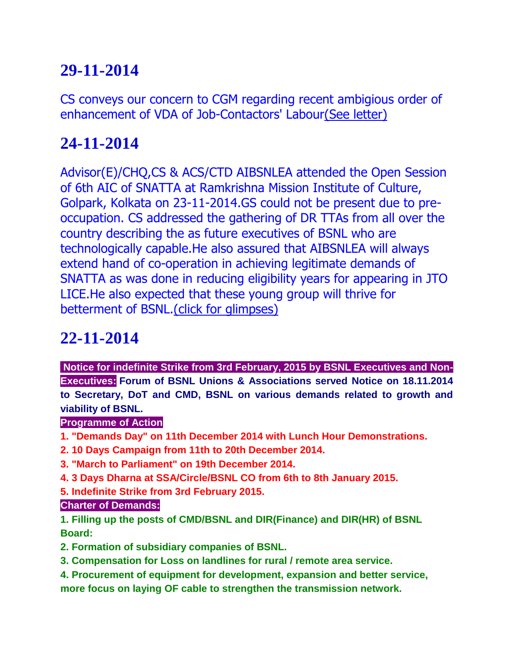# **29-11-2014**

CS conveys our concern to CGM regarding recent ambigious order of enhancement of VDA of Job-Contactors' Labou[r\(See letter\)](http://aibsnleawb.org/JOBRATE011014.pdf)

# **24-11-2014**

Advisor(E)/CHQ,CS & ACS/CTD AIBSNLEA attended the Open Session of 6th AIC of SNATTA at Ramkrishna Mission Institute of Culture, Golpark, Kolkata on 23-11-2014.GS could not be present due to preoccupation. CS addressed the gathering of DR TTAs from all over the country describing the as future executives of BSNL who are technologically capable.He also assured that AIBSNLEA will always extend hand of co-operation in achieving legitimate demands of SNATTA as was done in reducing eligibility years for appearing in JTO LICE.He also expected that these young group will thrive for betterment of BSNL[.\(click for glimpses\)](http://aibsnleawb.org/SNATTA_AIC.pdf)

# **22-11-2014**

**Notice for indefinite Strike from 3rd February, 2015 by BSNL Executives and Non-Executives: Forum of BSNL Unions & Associations served Notice on 18.11.2014 to Secretary, DoT and CMD, BSNL on various demands related to growth and viability of BSNL.**

### **Programme of Action**

- **1. "Demands Day" on 11th December 2014 with Lunch Hour Demonstrations.**
- **2. 10 Days Campaign from 11th to 20th December 2014.**
- **3. "March to Parliament" on 19th December 2014.**
- **4. 3 Days Dharna at SSA/Circle/BSNL CO from 6th to 8th January 2015.**
- **5. Indefinite Strike from 3rd February 2015.**

#### **Charter of Demands:**

**1. Filling up the posts of CMD/BSNL and DIR(Finance) and DIR(HR) of BSNL Board:**

- **2. Formation of subsidiary companies of BSNL.**
- **3. Compensation for Loss on landlines for rural / remote area service.**
- **4. Procurement of equipment for development, expansion and better service,**

**more focus on laying OF cable to strengthen the transmission network.**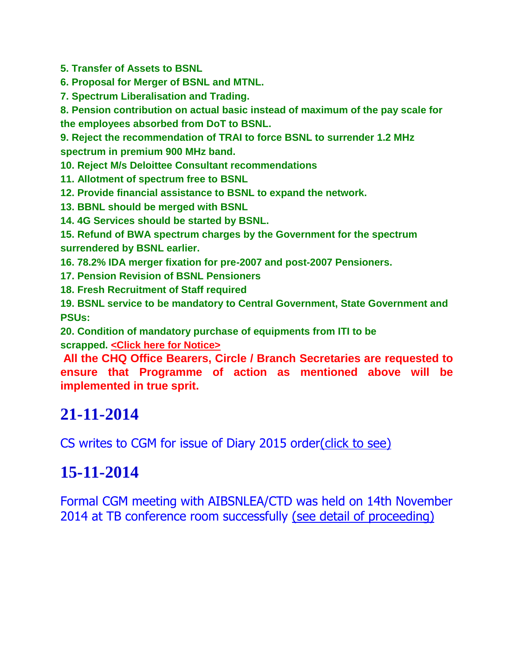**5. Transfer of Assets to BSNL**

**6. Proposal for Merger of BSNL and MTNL.**

**7. Spectrum Liberalisation and Trading.**

**8. Pension contribution on actual basic instead of maximum of the pay scale for the employees absorbed from DoT to BSNL.**

**9. Reject the recommendation of TRAI to force BSNL to surrender 1.2 MHz spectrum in premium 900 MHz band.**

**10. Reject M/s Deloittee Consultant recommendations**

- **11. Allotment of spectrum free to BSNL**
- **12. Provide financial assistance to BSNL to expand the network.**
- **13. BBNL should be merged with BSNL**
- **14. 4G Services should be started by BSNL.**

**15. Refund of BWA spectrum charges by the Government for the spectrum surrendered by BSNL earlier.**

**16. 78.2% IDA merger fixation for pre-2007 and post-2007 Pensioners.**

**17. Pension Revision of BSNL Pensioners**

**18. Fresh Recruitment of Staff required**

**19. BSNL service to be mandatory to Central Government, State Government and PSUs:**

**20. Condition of mandatory purchase of equipments from ITI to be scrapped. [<Click here for Notice>](http://bsnleuchq.com/Forum%20strike%20notice.pdf)**

**All the CHQ Office Bearers, Circle / Branch Secretaries are requested to ensure that Programme of action as mentioned above will be implemented in true sprit.**

## **21-11-2014**

CS writes to CGM for issue of Diary 2015 order(click [to see\)](http://aibsnleawb.org/DiaryApp2015.pdf)

## **15-11-2014**

Formal CGM meeting with AIBSNLEA/CTD was held on 14th November 2014 at TB conference room successfully [\(see detail of proceeding\)](http://aibsnleawb.org/CGMmeet141114.pdf)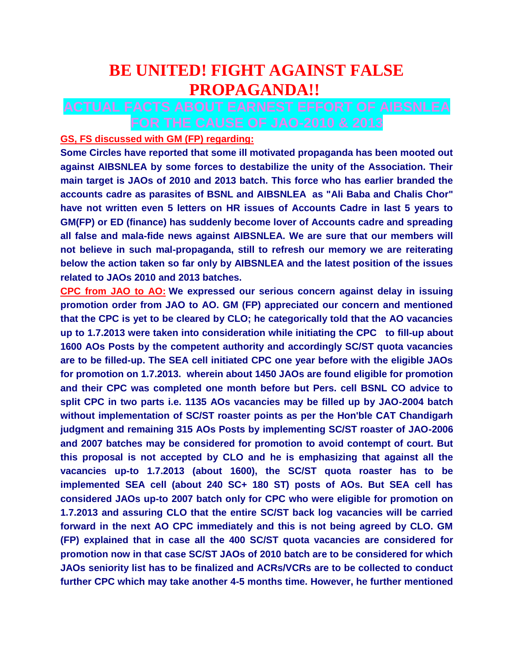## **BE UNITED! FIGHT AGAINST FALSE PROPAGANDA!!**

### **ACTUAL FACTS ABOUT EARNEST EFFORT OF AIBSNLEA FOR THE CAUSE OF JAO-2010 & 2013**

#### **GS, FS discussed with GM (FP) regarding:**

**Some Circles have reported that some ill motivated propaganda has been mooted out against AIBSNLEA by some forces to destabilize the unity of the Association. Their main target is JAOs of 2010 and 2013 batch. This force who has earlier branded the accounts cadre as parasites of BSNL and AIBSNLEA as "Ali Baba and Chalis Chor" have not written even 5 letters on HR issues of Accounts Cadre in last 5 years to GM(FP) or ED (finance) has suddenly become lover of Accounts cadre and spreading all false and mala-fide news against AIBSNLEA. We are sure that our members will not believe in such mal-propaganda, still to refresh our memory we are reiterating below the action taken so far only by AIBSNLEA and the latest position of the issues related to JAOs 2010 and 2013 batches.**

**CPC from JAO to AO: We expressed our serious concern against delay in issuing promotion order from JAO to AO. GM (FP) appreciated our concern and mentioned that the CPC is yet to be cleared by CLO; he categorically told that the AO vacancies up to 1.7.2013 were taken into consideration while initiating the CPC to fill-up about 1600 AOs Posts by the competent authority and accordingly SC/ST quota vacancies are to be filled-up. The SEA cell initiated CPC one year before with the eligible JAOs for promotion on 1.7.2013. wherein about 1450 JAOs are found eligible for promotion and their CPC was completed one month before but Pers. cell BSNL CO advice to split CPC in two parts i.e. 1135 AOs vacancies may be filled up by JAO-2004 batch without implementation of SC/ST roaster points as per the Hon'ble CAT Chandigarh judgment and remaining 315 AOs Posts by implementing SC/ST roaster of JAO-2006 and 2007 batches may be considered for promotion to avoid contempt of court. But this proposal is not accepted by CLO and he is emphasizing that against all the vacancies up-to 1.7.2013 (about 1600), the SC/ST quota roaster has to be implemented SEA cell (about 240 SC+ 180 ST) posts of AOs. But SEA cell has considered JAOs up-to 2007 batch only for CPC who were eligible for promotion on 1.7.2013 and assuring CLO that the entire SC/ST back log vacancies will be carried forward in the next AO CPC immediately and this is not being agreed by CLO. GM (FP) explained that in case all the 400 SC/ST quota vacancies are considered for promotion now in that case SC/ST JAOs of 2010 batch are to be considered for which JAOs seniority list has to be finalized and ACRs/VCRs are to be collected to conduct further CPC which may take another 4-5 months time. However, he further mentioned**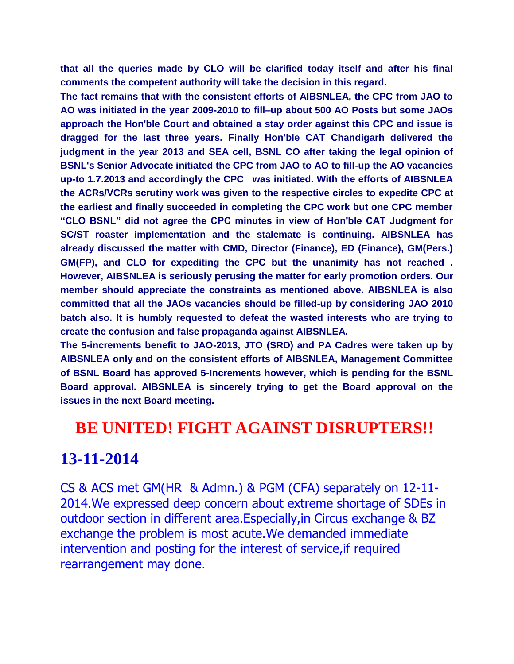**that all the queries made by CLO will be clarified today itself and after his final comments the competent authority will take the decision in this regard.**

**The fact remains that with the consistent efforts of AIBSNLEA, the CPC from JAO to AO was initiated in the year 2009-2010 to fill–up about 500 AO Posts but some JAOs approach the Hon'ble Court and obtained a stay order against this CPC and issue is dragged for the last three years. Finally Hon'ble CAT Chandigarh delivered the judgment in the year 2013 and SEA cell, BSNL CO after taking the legal opinion of BSNL's Senior Advocate initiated the CPC from JAO to AO to fill-up the AO vacancies up-to 1.7.2013 and accordingly the CPC was initiated. With the efforts of AIBSNLEA the ACRs/VCRs scrutiny work was given to the respective circles to expedite CPC at the earliest and finally succeeded in completing the CPC work but one CPC member "CLO BSNL" did not agree the CPC minutes in view of Hon'ble CAT Judgment for SC/ST roaster implementation and the stalemate is continuing. AIBSNLEA has already discussed the matter with CMD, Director (Finance), ED (Finance), GM(Pers.) GM(FP), and CLO for expediting the CPC but the unanimity has not reached . However, AIBSNLEA is seriously perusing the matter for early promotion orders. Our member should appreciate the constraints as mentioned above. AIBSNLEA is also committed that all the JAOs vacancies should be filled-up by considering JAO 2010 batch also. It is humbly requested to defeat the wasted interests who are trying to create the confusion and false propaganda against AIBSNLEA.**

**The 5-increments benefit to JAO-2013, JTO (SRD) and PA Cadres were taken up by AIBSNLEA only and on the consistent efforts of AIBSNLEA, Management Committee of BSNL Board has approved 5-Increments however, which is pending for the BSNL Board approval. AIBSNLEA is sincerely trying to get the Board approval on the issues in the next Board meeting.**

## **BE UNITED! FIGHT AGAINST DISRUPTERS!!**

### **13-11-2014**

CS & ACS met GM(HR & Admn.) & PGM (CFA) separately on 12-11- 2014.We expressed deep concern about extreme shortage of SDEs in outdoor section in different area.Especially,in Circus exchange & BZ exchange the problem is most acute.We demanded immediate intervention and posting for the interest of service, if required rearrangement may done.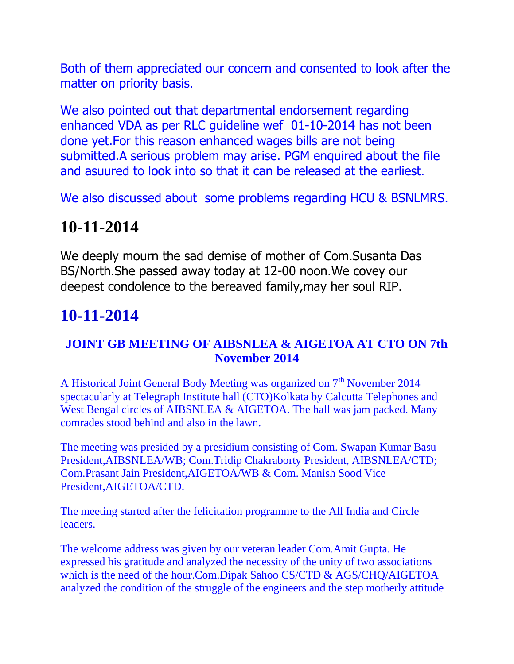Both of them appreciated our concern and consented to look after the matter on priority basis.

We also pointed out that departmental endorsement regarding enhanced VDA as per RLC guideline wef 01-10-2014 has not been done yet.For this reason enhanced wages bills are not being submitted.A serious problem may arise. PGM enquired about the file and asuured to look into so that it can be released at the earliest.

We also discussed about some problems regarding HCU & BSNLMRS.

# **10-11-2014**

We deeply mourn the sad demise of mother of Com.Susanta Das BS/North.She passed away today at 12-00 noon.We covey our deepest condolence to the bereaved family,may her soul RIP.

# **10-11-2014**

### **JOINT GB MEETING OF AIBSNLEA & AIGETOA AT CTO ON 7th November 2014**

A Historical Joint General Body Meeting was organized on  $7<sup>th</sup>$  November 2014 spectacularly at Telegraph Institute hall (CTO)Kolkata by Calcutta Telephones and West Bengal circles of AIBSNLEA & AIGETOA. The hall was jam packed. Many comrades stood behind and also in the lawn.

The meeting was presided by a presidium consisting of Com. Swapan Kumar Basu President,AIBSNLEA/WB; Com.Tridip Chakraborty President, AIBSNLEA/CTD; Com.Prasant Jain President,AIGETOA/WB & Com. Manish Sood Vice President,AIGETOA/CTD.

The meeting started after the felicitation programme to the All India and Circle leaders.

The welcome address was given by our veteran leader Com.Amit Gupta. He expressed his gratitude and analyzed the necessity of the unity of two associations which is the need of the hour.Com.Dipak Sahoo CS/CTD & AGS/CHQ/AIGETOA analyzed the condition of the struggle of the engineers and the step motherly attitude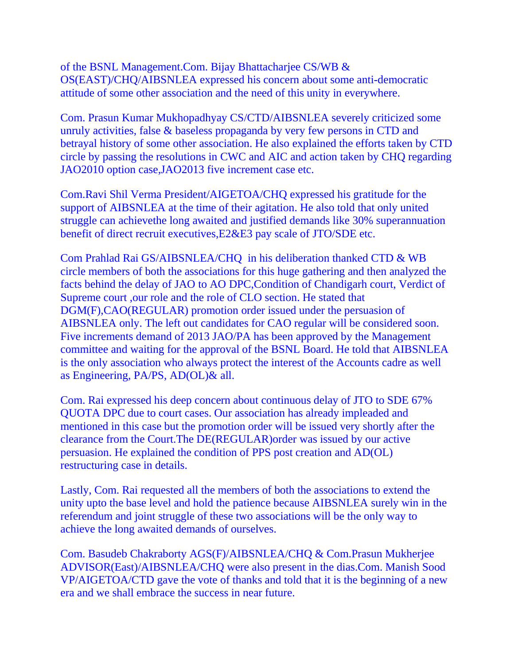of the BSNL Management.Com. Bijay Bhattacharjee CS/WB & OS(EAST)/CHQ/AIBSNLEA expressed his concern about some anti-democratic attitude of some other association and the need of this unity in everywhere.

Com. Prasun Kumar Mukhopadhyay CS/CTD/AIBSNLEA severely criticized some unruly activities, false & baseless propaganda by very few persons in CTD and betrayal history of some other association. He also explained the efforts taken by CTD circle by passing the resolutions in CWC and AIC and action taken by CHQ regarding JAO2010 option case,JAO2013 five increment case etc.

Com.Ravi Shil Verma President/AIGETOA/CHQ expressed his gratitude for the support of AIBSNLEA at the time of their agitation. He also told that only united struggle can achievethe long awaited and justified demands like 30% superannuation benefit of direct recruit executives,E2&E3 pay scale of JTO/SDE etc.

Com Prahlad Rai GS/AIBSNLEA/CHQ in his deliberation thanked CTD & WB circle members of both the associations for this huge gathering and then analyzed the facts behind the delay of JAO to AO DPC,Condition of Chandigarh court, Verdict of Supreme court ,our role and the role of CLO section. He stated that DGM(F),CAO(REGULAR) promotion order issued under the persuasion of AIBSNLEA only. The left out candidates for CAO regular will be considered soon. Five increments demand of 2013 JAO/PA has been approved by the Management committee and waiting for the approval of the BSNL Board. He told that AIBSNLEA is the only association who always protect the interest of the Accounts cadre as well as Engineering, PA/PS, AD(OL)& all.

Com. Rai expressed his deep concern about continuous delay of JTO to SDE 67% QUOTA DPC due to court cases. Our association has already impleaded and mentioned in this case but the promotion order will be issued very shortly after the clearance from the Court.The DE(REGULAR)order was issued by our active persuasion. He explained the condition of PPS post creation and AD(OL) restructuring case in details.

Lastly, Com. Rai requested all the members of both the associations to extend the unity upto the base level and hold the patience because AIBSNLEA surely win in the referendum and joint struggle of these two associations will be the only way to achieve the long awaited demands of ourselves.

Com. Basudeb Chakraborty AGS(F)/AIBSNLEA/CHQ & Com.Prasun Mukherjee ADVISOR(East)/AIBSNLEA/CHQ were also present in the dias.Com. Manish Sood VP/AIGETOA/CTD gave the vote of thanks and told that it is the beginning of a new era and we shall embrace the success in near future.